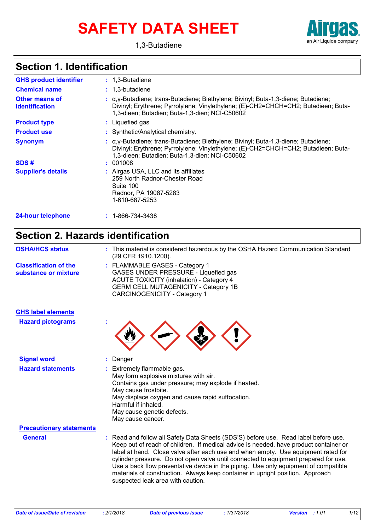# **SAFETY DATA SHEET**



## **Section 1. Identification**

| <b>GHS product identifier</b>                  | $: 1.3$ -Butadiene                                                                                                                                                                                                                       |
|------------------------------------------------|------------------------------------------------------------------------------------------------------------------------------------------------------------------------------------------------------------------------------------------|
| <b>Chemical name</b>                           | $: 1,3$ -butadiene                                                                                                                                                                                                                       |
| <b>Other means of</b><br><i>identification</i> | $\alpha$ , $\gamma$ -Butadiene; trans-Butadiene; Biethylene; Bivinyl; Buta-1,3-diene; Butadiene;<br>Divinyl; Erythrene; Pyrrolylene; Vinylethylene; (E)-CH2=CHCH=CH2; Butadieen; Buta-<br>1,3-dieen; Butadien; Buta-1,3-dien; NCI-C50602 |
| <b>Product type</b>                            | : Liquefied gas                                                                                                                                                                                                                          |
| <b>Product use</b>                             | : Synthetic/Analytical chemistry.                                                                                                                                                                                                        |
| <b>Synonym</b>                                 | $\alpha$ , $\gamma$ -Butadiene; trans-Butadiene; Biethylene; Bivinyl; Buta-1,3-diene; Butadiene;<br>Divinyl; Erythrene; Pyrrolylene; Vinylethylene; (E)-CH2=CHCH=CH2; Butadieen; Buta-<br>1,3-dieen; Butadien; Buta-1,3-dien; NCI-C50602 |
| SDS#                                           | : 001008                                                                                                                                                                                                                                 |
| <b>Supplier's details</b>                      | : Airgas USA, LLC and its affiliates<br>259 North Radnor-Chester Road<br>Suite 100<br>Radnor, PA 19087-5283<br>1-610-687-5253                                                                                                            |
| <b>24-hour telephone</b>                       | $: 1 - 866 - 734 - 3438$                                                                                                                                                                                                                 |

## **Section 2. Hazards identification**

| <b>OSHA/HCS status</b>                               | : This material is considered hazardous by the OSHA Hazard Communication Standard<br>(29 CFR 1910.1200).                                                                                                                                                                                                                                                                                                                                                                                                                                                               |
|------------------------------------------------------|------------------------------------------------------------------------------------------------------------------------------------------------------------------------------------------------------------------------------------------------------------------------------------------------------------------------------------------------------------------------------------------------------------------------------------------------------------------------------------------------------------------------------------------------------------------------|
| <b>Classification of the</b><br>substance or mixture | : FLAMMABLE GASES - Category 1<br>GASES UNDER PRESSURE - Liquefied gas<br><b>ACUTE TOXICITY (inhalation) - Category 4</b><br><b>GERM CELL MUTAGENICITY - Category 1B</b><br><b>CARCINOGENICITY - Category 1</b>                                                                                                                                                                                                                                                                                                                                                        |
| <b>GHS label elements</b>                            |                                                                                                                                                                                                                                                                                                                                                                                                                                                                                                                                                                        |
| <b>Hazard pictograms</b>                             |                                                                                                                                                                                                                                                                                                                                                                                                                                                                                                                                                                        |
| <b>Signal word</b>                                   | Danger                                                                                                                                                                                                                                                                                                                                                                                                                                                                                                                                                                 |
| <b>Hazard statements</b>                             | : Extremely flammable gas.<br>May form explosive mixtures with air.<br>Contains gas under pressure; may explode if heated.<br>May cause frostbite.<br>May displace oxygen and cause rapid suffocation.<br>Harmful if inhaled.<br>May cause genetic defects.<br>May cause cancer.                                                                                                                                                                                                                                                                                       |
| <b>Precautionary statements</b>                      |                                                                                                                                                                                                                                                                                                                                                                                                                                                                                                                                                                        |
| <b>General</b>                                       | : Read and follow all Safety Data Sheets (SDS'S) before use. Read label before use.<br>Keep out of reach of children. If medical advice is needed, have product container or<br>label at hand. Close valve after each use and when empty. Use equipment rated for<br>cylinder pressure. Do not open valve until connected to equipment prepared for use.<br>Use a back flow preventative device in the piping. Use only equipment of compatible<br>materials of construction. Always keep container in upright position. Approach<br>suspected leak area with caution. |

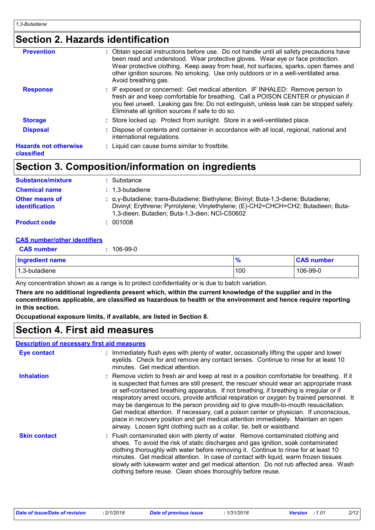## **Section 2. Hazards identification**

| <b>Prevention</b>                          | : Obtain special instructions before use. Do not handle until all safety precautions have<br>been read and understood. Wear protective gloves. Wear eye or face protection.<br>Wear protective clothing. Keep away from heat, hot surfaces, sparks, open flames and<br>other ignition sources. No smoking. Use only outdoors or in a well-ventilated area. |
|--------------------------------------------|------------------------------------------------------------------------------------------------------------------------------------------------------------------------------------------------------------------------------------------------------------------------------------------------------------------------------------------------------------|
|                                            | Avoid breathing gas.                                                                                                                                                                                                                                                                                                                                       |
| <b>Response</b>                            | : IF exposed or concerned: Get medical attention. IF INHALED: Remove person to<br>fresh air and keep comfortable for breathing. Call a POISON CENTER or physician if<br>you feel unwell. Leaking gas fire: Do not extinguish, unless leak can be stopped safely.<br>Eliminate all ignition sources if safe to do so.                                       |
| <b>Storage</b>                             | : Store locked up. Protect from sunlight. Store in a well-ventilated place.                                                                                                                                                                                                                                                                                |
| <b>Disposal</b>                            | : Dispose of contents and container in accordance with all local, regional, national and<br>international regulations.                                                                                                                                                                                                                                     |
| <b>Hazards not otherwise</b><br>classified | : Liquid can cause burns similar to frostbite.                                                                                                                                                                                                                                                                                                             |

## **Section 3. Composition/information on ingredients**

| <b>Substance/mixture</b>                       | : Substance                                                                                                                                                                                                                      |
|------------------------------------------------|----------------------------------------------------------------------------------------------------------------------------------------------------------------------------------------------------------------------------------|
| <b>Chemical name</b>                           | $: 1,3$ -butadiene                                                                                                                                                                                                               |
| <b>Other means of</b><br><b>identification</b> | $\alpha$ , y-Butadiene; trans-Butadiene; Biethylene; Bivinyl; Buta-1,3-diene; Butadiene;<br>Divinyl; Erythrene; Pyrrolylene; Vinylethylene; (E)-CH2=CHCH=CH2; Butadieen; Buta-<br>1,3-dieen; Butadien; Buta-1,3-dien; NCI-C50602 |
| <b>Product code</b>                            | : 001008                                                                                                                                                                                                                         |

### **CAS number/other identifiers**

| <b>CAS number</b>      | 106-99-0 |               |                   |
|------------------------|----------|---------------|-------------------|
| <b>Ingredient name</b> |          | $\frac{9}{6}$ | <b>CAS number</b> |
| 1,3-butadiene          |          | 100           | 106-99-0          |

Any concentration shown as a range is to protect confidentiality or is due to batch variation.

**There are no additional ingredients present which, within the current knowledge of the supplier and in the concentrations applicable, are classified as hazardous to health or the environment and hence require reporting in this section.**

**Occupational exposure limits, if available, are listed in Section 8.**

## **Section 4. First aid measures**

## **Description of necessary first aid measures**

| <b>Eye contact</b>  | : Immediately flush eyes with plenty of water, occasionally lifting the upper and lower<br>eyelids. Check for and remove any contact lenses. Continue to rinse for at least 10<br>minutes. Get medical attention.                                                                                                                                                                                                                                                                                                                                                                                                                                                                                                                    |
|---------------------|--------------------------------------------------------------------------------------------------------------------------------------------------------------------------------------------------------------------------------------------------------------------------------------------------------------------------------------------------------------------------------------------------------------------------------------------------------------------------------------------------------------------------------------------------------------------------------------------------------------------------------------------------------------------------------------------------------------------------------------|
| <b>Inhalation</b>   | : Remove victim to fresh air and keep at rest in a position comfortable for breathing. If it<br>is suspected that fumes are still present, the rescuer should wear an appropriate mask<br>or self-contained breathing apparatus. If not breathing, if breathing is irregular or if<br>respiratory arrest occurs, provide artificial respiration or oxygen by trained personnel. It<br>may be dangerous to the person providing aid to give mouth-to-mouth resuscitation.<br>Get medical attention. If necessary, call a poison center or physician. If unconscious,<br>place in recovery position and get medical attention immediately. Maintain an open<br>airway. Loosen tight clothing such as a collar, tie, belt or waistband. |
| <b>Skin contact</b> | : Flush contaminated skin with plenty of water. Remove contaminated clothing and<br>shoes. To avoid the risk of static discharges and gas ignition, soak contaminated<br>clothing thoroughly with water before removing it. Continue to rinse for at least 10<br>minutes. Get medical attention. In case of contact with liquid, warm frozen tissues<br>slowly with lukewarm water and get medical attention. Do not rub affected area. Wash<br>clothing before reuse. Clean shoes thoroughly before reuse.                                                                                                                                                                                                                          |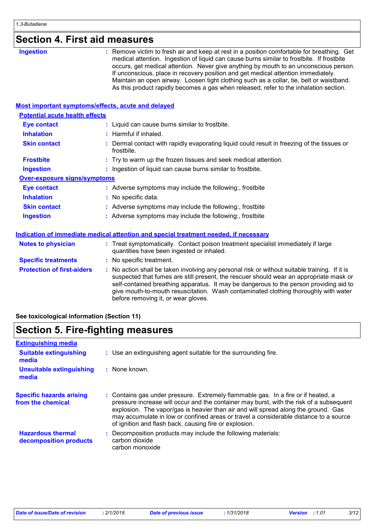| <b>Section 4. First aid measures</b> |  |
|--------------------------------------|--|
|--------------------------------------|--|

| <b>Ingestion</b>                                          | : Remove victim to fresh air and keep at rest in a position comfortable for breathing. Get<br>medical attention. Ingestion of liquid can cause burns similar to frostbite. If frostbite<br>occurs, get medical attention. Never give anything by mouth to an unconscious person.<br>If unconscious, place in recovery position and get medical attention immediately.<br>Maintain an open airway. Loosen tight clothing such as a collar, tie, belt or waistband.<br>As this product rapidly becomes a gas when released, refer to the inhalation section. |
|-----------------------------------------------------------|------------------------------------------------------------------------------------------------------------------------------------------------------------------------------------------------------------------------------------------------------------------------------------------------------------------------------------------------------------------------------------------------------------------------------------------------------------------------------------------------------------------------------------------------------------|
| <b>Most important symptoms/effects, acute and delayed</b> |                                                                                                                                                                                                                                                                                                                                                                                                                                                                                                                                                            |
| <b>Potential acute health effects</b>                     |                                                                                                                                                                                                                                                                                                                                                                                                                                                                                                                                                            |
| <b>Eye contact</b>                                        | : Liquid can cause burns similar to frostbite.                                                                                                                                                                                                                                                                                                                                                                                                                                                                                                             |
| <b>Inhalation</b>                                         | : Harmful if inhaled.                                                                                                                                                                                                                                                                                                                                                                                                                                                                                                                                      |
| <b>Skin contact</b>                                       | Dermal contact with rapidly evaporating liquid could result in freezing of the tissues or<br>frostbite.                                                                                                                                                                                                                                                                                                                                                                                                                                                    |
| <b>Frostbite</b>                                          | : Try to warm up the frozen tissues and seek medical attention.                                                                                                                                                                                                                                                                                                                                                                                                                                                                                            |
| <b>Ingestion</b>                                          | : Ingestion of liquid can cause burns similar to frostbite.                                                                                                                                                                                                                                                                                                                                                                                                                                                                                                |
| <b>Over-exposure signs/symptoms</b>                       |                                                                                                                                                                                                                                                                                                                                                                                                                                                                                                                                                            |
| <b>Eye contact</b>                                        | : Adverse symptoms may include the following:, frostbite                                                                                                                                                                                                                                                                                                                                                                                                                                                                                                   |
| <b>Inhalation</b>                                         | : No specific data.                                                                                                                                                                                                                                                                                                                                                                                                                                                                                                                                        |
| <b>Skin contact</b>                                       | : Adverse symptoms may include the following:, frostbite                                                                                                                                                                                                                                                                                                                                                                                                                                                                                                   |
| <b>Ingestion</b>                                          | : Adverse symptoms may include the following:, frostbite                                                                                                                                                                                                                                                                                                                                                                                                                                                                                                   |
|                                                           | Indication of immediate medical attention and special treatment needed, if necessary                                                                                                                                                                                                                                                                                                                                                                                                                                                                       |
| <b>Notes to physician</b>                                 | : Treat symptomatically. Contact poison treatment specialist immediately if large<br>quantities have been ingested or inhaled.                                                                                                                                                                                                                                                                                                                                                                                                                             |
| <b>Specific treatments</b>                                | : No specific treatment.                                                                                                                                                                                                                                                                                                                                                                                                                                                                                                                                   |
| <b>Protection of first-aiders</b>                         | : No action shall be taken involving any personal risk or without suitable training. If it is<br>suspected that fumes are still present, the rescuer should wear an appropriate mask or<br>self-contained breathing apparatus. It may be dangerous to the person providing aid to<br>give mouth-to-mouth resuscitation. Wash contaminated clothing thoroughly with water<br>before removing it, or wear gloves.                                                                                                                                            |

## **See toxicological information (Section 11)**

## **Section 5. Fire-fighting measures**

| <b>Extinguishing media</b>                           |                                                                                                                                                                                                                                                                                                                                                                                                                       |
|------------------------------------------------------|-----------------------------------------------------------------------------------------------------------------------------------------------------------------------------------------------------------------------------------------------------------------------------------------------------------------------------------------------------------------------------------------------------------------------|
| <b>Suitable extinguishing</b><br>media               | : Use an extinguishing agent suitable for the surrounding fire.                                                                                                                                                                                                                                                                                                                                                       |
| <b>Unsuitable extinguishing</b><br>media             | $\therefore$ None known.                                                                                                                                                                                                                                                                                                                                                                                              |
| <b>Specific hazards arising</b><br>from the chemical | : Contains gas under pressure. Extremely flammable gas. In a fire or if heated, a<br>pressure increase will occur and the container may burst, with the risk of a subsequent<br>explosion. The vapor/gas is heavier than air and will spread along the ground. Gas<br>may accumulate in low or confined areas or travel a considerable distance to a source<br>of ignition and flash back, causing fire or explosion. |
| <b>Hazardous thermal</b><br>decomposition products   | Decomposition products may include the following materials:<br>carbon dioxide<br>carbon monoxide                                                                                                                                                                                                                                                                                                                      |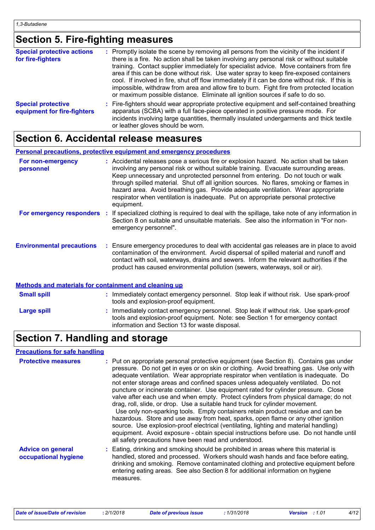## **Section 5. Fire-fighting measures**

| <b>Special protective actions</b><br>for fire-fighters   | : Promptly isolate the scene by removing all persons from the vicinity of the incident if<br>there is a fire. No action shall be taken involving any personal risk or without suitable<br>training. Contact supplier immediately for specialist advice. Move containers from fire<br>area if this can be done without risk. Use water spray to keep fire-exposed containers<br>cool. If involved in fire, shut off flow immediately if it can be done without risk. If this is<br>impossible, withdraw from area and allow fire to burn. Fight fire from protected location<br>or maximum possible distance. Eliminate all ignition sources if safe to do so. |
|----------------------------------------------------------|---------------------------------------------------------------------------------------------------------------------------------------------------------------------------------------------------------------------------------------------------------------------------------------------------------------------------------------------------------------------------------------------------------------------------------------------------------------------------------------------------------------------------------------------------------------------------------------------------------------------------------------------------------------|
| <b>Special protective</b><br>equipment for fire-fighters | : Fire-fighters should wear appropriate protective equipment and self-contained breathing<br>apparatus (SCBA) with a full face-piece operated in positive pressure mode. For<br>incidents involving large quantities, thermally insulated undergarments and thick textile<br>or leather gloves should be worn.                                                                                                                                                                                                                                                                                                                                                |

## **Section 6. Accidental release measures**

## **Personal precautions, protective equipment and emergency procedures**

| For non-emergency<br>personnel   | : Accidental releases pose a serious fire or explosion hazard. No action shall be taken<br>involving any personal risk or without suitable training. Evacuate surrounding areas.<br>Keep unnecessary and unprotected personnel from entering. Do not touch or walk<br>through spilled material. Shut off all ignition sources. No flares, smoking or flames in<br>hazard area. Avoid breathing gas. Provide adequate ventilation. Wear appropriate<br>respirator when ventilation is inadequate. Put on appropriate personal protective<br>equipment. |
|----------------------------------|-------------------------------------------------------------------------------------------------------------------------------------------------------------------------------------------------------------------------------------------------------------------------------------------------------------------------------------------------------------------------------------------------------------------------------------------------------------------------------------------------------------------------------------------------------|
| For emergency responders         | If specialized clothing is required to deal with the spillage, take note of any information in<br>Section 8 on suitable and unsuitable materials. See also the information in "For non-<br>emergency personnel".                                                                                                                                                                                                                                                                                                                                      |
| <b>Environmental precautions</b> | Ensure emergency procedures to deal with accidental gas releases are in place to avoid<br>contamination of the environment. Avoid dispersal of spilled material and runoff and<br>contact with soil, waterways, drains and sewers. Inform the relevant authorities if the<br>product has caused environmental pollution (sewers, waterways, soil or air).                                                                                                                                                                                             |

## **Methods and materials for containment and cleaning up**

| <b>Small spill</b> | Immediately contact emergency personnel. Stop leak if without risk. Use spark-proof<br>tools and explosion-proof equipment.                                                                                             |
|--------------------|-------------------------------------------------------------------------------------------------------------------------------------------------------------------------------------------------------------------------|
| <b>Large spill</b> | Immediately contact emergency personnel. Stop leak if without risk. Use spark-proof<br>tools and explosion-proof equipment. Note: see Section 1 for emergency contact<br>information and Section 13 for waste disposal. |

## **Section 7. Handling and storage**

## **Precautions for safe handling**

| <b>Protective measures</b>                       | : Put on appropriate personal protective equipment (see Section 8). Contains gas under<br>pressure. Do not get in eyes or on skin or clothing. Avoid breathing gas. Use only with<br>adequate ventilation. Wear appropriate respirator when ventilation is inadequate. Do<br>not enter storage areas and confined spaces unless adequately ventilated. Do not<br>puncture or incinerate container. Use equipment rated for cylinder pressure. Close<br>valve after each use and when empty. Protect cylinders from physical damage; do not<br>drag, roll, slide, or drop. Use a suitable hand truck for cylinder movement.<br>Use only non-sparking tools. Empty containers retain product residue and can be<br>hazardous. Store and use away from heat, sparks, open flame or any other ignition<br>source. Use explosion-proof electrical (ventilating, lighting and material handling)<br>equipment. Avoid exposure - obtain special instructions before use. Do not handle until<br>all safety precautions have been read and understood. |
|--------------------------------------------------|------------------------------------------------------------------------------------------------------------------------------------------------------------------------------------------------------------------------------------------------------------------------------------------------------------------------------------------------------------------------------------------------------------------------------------------------------------------------------------------------------------------------------------------------------------------------------------------------------------------------------------------------------------------------------------------------------------------------------------------------------------------------------------------------------------------------------------------------------------------------------------------------------------------------------------------------------------------------------------------------------------------------------------------------|
| <b>Advice on general</b><br>occupational hygiene | : Eating, drinking and smoking should be prohibited in areas where this material is<br>handled, stored and processed. Workers should wash hands and face before eating,<br>drinking and smoking. Remove contaminated clothing and protective equipment before<br>entering eating areas. See also Section 8 for additional information on hygiene<br>measures.                                                                                                                                                                                                                                                                                                                                                                                                                                                                                                                                                                                                                                                                                  |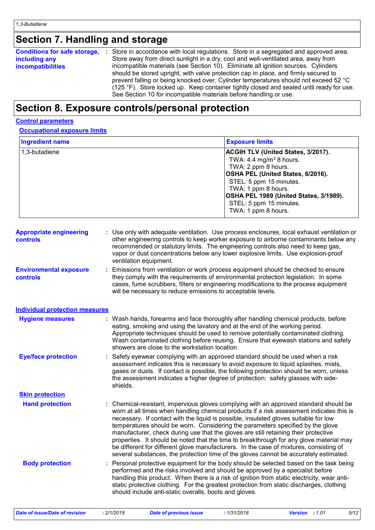## **Section 7. Handling and storage**

| Conditions for safe storage, : | Store in accordance with local regulations. Store in a segregated and approved area.     |
|--------------------------------|------------------------------------------------------------------------------------------|
| including any                  | Store away from direct sunlight in a dry, cool and well-ventilated area, away from       |
| <b>incompatibilities</b>       | incompatible materials (see Section 10). Eliminate all ignition sources. Cylinders       |
|                                | should be stored upright, with valve protection cap in place, and firmly secured to      |
|                                | prevent falling or being knocked over. Cylinder temperatures should not exceed 52 °C     |
|                                | (125 °F). Store locked up. Keep container tightly closed and sealed until ready for use. |
|                                | See Section 10 for incompatible materials before handling or use.                        |

## **Section 8. Exposure controls/personal protection**

### **Control parameters**

### **Occupational exposure limits**

| <b>Ingredient name</b>                            |                                                        | <b>Exposure limits</b>                                                                                                                                                                                                                                                                                                                                                                                                                                                                                                                                                                                                                                                                                                           |
|---------------------------------------------------|--------------------------------------------------------|----------------------------------------------------------------------------------------------------------------------------------------------------------------------------------------------------------------------------------------------------------------------------------------------------------------------------------------------------------------------------------------------------------------------------------------------------------------------------------------------------------------------------------------------------------------------------------------------------------------------------------------------------------------------------------------------------------------------------------|
| 1,3-butadiene                                     |                                                        | ACGIH TLV (United States, 3/2017).<br>TWA: 4.4 mg/m <sup>3</sup> 8 hours.<br>TWA: 2 ppm 8 hours.<br>OSHA PEL (United States, 6/2016).<br>STEL: 5 ppm 15 minutes.<br>TWA: 1 ppm 8 hours.<br>OSHA PEL 1989 (United States, 3/1989).<br>STEL: 5 ppm 15 minutes.<br>TWA: 1 ppm 8 hours.                                                                                                                                                                                                                                                                                                                                                                                                                                              |
| <b>Appropriate engineering</b><br><b>controls</b> | ventilation equipment.                                 | : Use only with adequate ventilation. Use process enclosures, local exhaust ventilation or<br>other engineering controls to keep worker exposure to airborne contaminants below any<br>recommended or statutory limits. The engineering controls also need to keep gas,<br>vapor or dust concentrations below any lower explosive limits. Use explosion-proof                                                                                                                                                                                                                                                                                                                                                                    |
| <b>Environmental exposure</b><br>controls         |                                                        | Emissions from ventilation or work process equipment should be checked to ensure<br>they comply with the requirements of environmental protection legislation. In some<br>cases, fume scrubbers, filters or engineering modifications to the process equipment<br>will be necessary to reduce emissions to acceptable levels.                                                                                                                                                                                                                                                                                                                                                                                                    |
| <b>Individual protection measures</b>             |                                                        |                                                                                                                                                                                                                                                                                                                                                                                                                                                                                                                                                                                                                                                                                                                                  |
| <b>Hygiene measures</b>                           | showers are close to the workstation location.         | : Wash hands, forearms and face thoroughly after handling chemical products, before<br>eating, smoking and using the lavatory and at the end of the working period.<br>Appropriate techniques should be used to remove potentially contaminated clothing.<br>Wash contaminated clothing before reusing. Ensure that eyewash stations and safety                                                                                                                                                                                                                                                                                                                                                                                  |
| <b>Eye/face protection</b>                        | shields.                                               | : Safety eyewear complying with an approved standard should be used when a risk<br>assessment indicates this is necessary to avoid exposure to liquid splashes, mists,<br>gases or dusts. If contact is possible, the following protection should be worn, unless<br>the assessment indicates a higher degree of protection: safety glasses with side-                                                                                                                                                                                                                                                                                                                                                                           |
| <b>Skin protection</b>                            |                                                        |                                                                                                                                                                                                                                                                                                                                                                                                                                                                                                                                                                                                                                                                                                                                  |
| <b>Hand protection</b>                            |                                                        | : Chemical-resistant, impervious gloves complying with an approved standard should be<br>worn at all times when handling chemical products if a risk assessment indicates this is<br>necessary. If contact with the liquid is possible, insulated gloves suitable for low<br>temperatures should be worn. Considering the parameters specified by the glove<br>manufacturer, check during use that the gloves are still retaining their protective<br>properties. It should be noted that the time to breakthrough for any glove material may<br>be different for different glove manufacturers. In the case of mixtures, consisting of<br>several substances, the protection time of the gloves cannot be accurately estimated. |
| <b>Body protection</b>                            | should include anti-static overalls, boots and gloves. | Personal protective equipment for the body should be selected based on the task being<br>performed and the risks involved and should be approved by a specialist before<br>handling this product. When there is a risk of ignition from static electricity, wear anti-<br>static protective clothing. For the greatest protection from static discharges, clothing                                                                                                                                                                                                                                                                                                                                                               |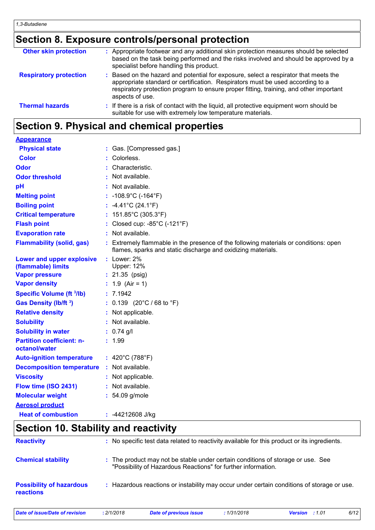## **Section 8. Exposure controls/personal protection**

| <b>Other skin protection</b>  | : Appropriate footwear and any additional skin protection measures should be selected<br>based on the task being performed and the risks involved and should be approved by a<br>specialist before handling this product.                                                           |
|-------------------------------|-------------------------------------------------------------------------------------------------------------------------------------------------------------------------------------------------------------------------------------------------------------------------------------|
| <b>Respiratory protection</b> | : Based on the hazard and potential for exposure, select a respirator that meets the<br>appropriate standard or certification. Respirators must be used according to a<br>respiratory protection program to ensure proper fitting, training, and other important<br>aspects of use. |
| <b>Thermal hazards</b>        | : If there is a risk of contact with the liquid, all protective equipment worn should be<br>suitable for use with extremely low temperature materials.                                                                                                                              |

## **Section 9. Physical and chemical properties**

| <b>Appearance</b>                                 |                                                                                                                                                      |
|---------------------------------------------------|------------------------------------------------------------------------------------------------------------------------------------------------------|
| <b>Physical state</b>                             | : Gas. [Compressed gas.]                                                                                                                             |
| <b>Color</b>                                      | Colorless.                                                                                                                                           |
| Odor                                              | Characteristic.                                                                                                                                      |
| <b>Odor threshold</b>                             | : Not available.                                                                                                                                     |
| pH                                                | : Not available.                                                                                                                                     |
| <b>Melting point</b>                              | : $-108.9^{\circ}$ C ( $-164^{\circ}$ F)                                                                                                             |
| <b>Boiling point</b>                              | : $-4.41^{\circ}$ C (24.1 $^{\circ}$ F)                                                                                                              |
| <b>Critical temperature</b>                       | : $151.85^{\circ}$ C (305.3°F)                                                                                                                       |
| <b>Flash point</b>                                | : Closed cup: - $85^{\circ}$ C (-121 $^{\circ}$ F)                                                                                                   |
| <b>Evaporation rate</b>                           | : Not available.                                                                                                                                     |
| <b>Flammability (solid, gas)</b>                  | : Extremely flammable in the presence of the following materials or conditions: open<br>flames, sparks and static discharge and oxidizing materials. |
| Lower and upper explosive<br>(flammable) limits   | $:$ Lower: 2%<br><b>Upper: 12%</b>                                                                                                                   |
| <b>Vapor pressure</b>                             | $: 21.35$ (psig)                                                                                                                                     |
| <b>Vapor density</b>                              | : $1.9$ (Air = 1)                                                                                                                                    |
| <b>Specific Volume (ft 3/lb)</b>                  | : 7.1942                                                                                                                                             |
| Gas Density (lb/ft 3)                             | : $0.139$ (20°C / 68 to °F)                                                                                                                          |
| <b>Relative density</b>                           | : Not applicable.                                                                                                                                    |
| <b>Solubility</b>                                 | : Not available.                                                                                                                                     |
| <b>Solubility in water</b>                        | $: 0.74$ g/l                                                                                                                                         |
| <b>Partition coefficient: n-</b><br>octanol/water | : 1.99                                                                                                                                               |
| <b>Auto-ignition temperature</b>                  | : 420°C (788°F)                                                                                                                                      |
| <b>Decomposition temperature</b>                  | : Not available.                                                                                                                                     |
| <b>Viscosity</b>                                  | Not applicable.                                                                                                                                      |
| Flow time (ISO 2431)                              | : Not available.                                                                                                                                     |
| <b>Molecular weight</b>                           | $: 54.09$ g/mole                                                                                                                                     |
| <b>Aerosol product</b>                            |                                                                                                                                                      |
| <b>Heat of combustion</b>                         | : -44212608 J/kg                                                                                                                                     |

## **Section 10. Stability and reactivity**

| Date of issue/Date of revision                      | : 2/1/2018 | <b>Date of previous issue</b>                                                                                                                    | :1/31/2018 | <b>Version</b> : 1.01 | 6/12 |
|-----------------------------------------------------|------------|--------------------------------------------------------------------------------------------------------------------------------------------------|------------|-----------------------|------|
| <b>Possibility of hazardous</b><br><b>reactions</b> | ÷.         | Hazardous reactions or instability may occur under certain conditions of storage or use.                                                         |            |                       |      |
| <b>Chemical stability</b>                           |            | : The product may not be stable under certain conditions of storage or use. See<br>"Possibility of Hazardous Reactions" for further information. |            |                       |      |
| <b>Reactivity</b>                                   |            | : No specific test data related to reactivity available for this product or its ingredients.                                                     |            |                       |      |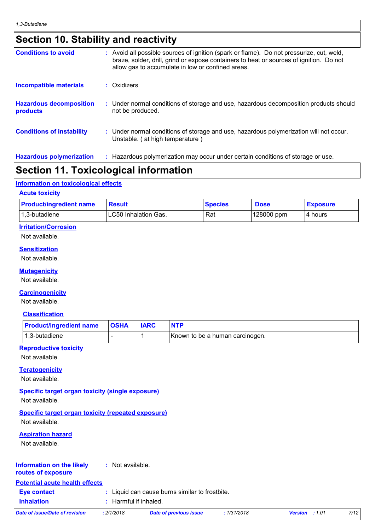## **Section 10. Stability and reactivity**

| <b>Conditions to avoid</b>                 | : Avoid all possible sources of ignition (spark or flame). Do not pressurize, cut, weld,<br>braze, solder, drill, grind or expose containers to heat or sources of ignition. Do not<br>allow gas to accumulate in low or confined areas. |
|--------------------------------------------|------------------------------------------------------------------------------------------------------------------------------------------------------------------------------------------------------------------------------------------|
| Incompatible materials                     | : Oxidizers                                                                                                                                                                                                                              |
| <b>Hazardous decomposition</b><br>products | : Under normal conditions of storage and use, hazardous decomposition products should<br>not be produced.                                                                                                                                |
| <b>Conditions of instability</b>           | : Under normal conditions of storage and use, hazardous polymerization will not occur.<br>Unstable. (at high temperature)                                                                                                                |
| <b>Hazardous polymerization</b>            | : Hazardous polymerization may occur under certain conditions of storage or use.                                                                                                                                                         |

## **Section 11. Toxicological information**

## **Information on toxicological effects**

### **Acute toxicity**

| <b>Product/ingredient name</b> | <b>Result</b>        | <b>Species</b> | <b>Dose</b> | <b>Exposure</b> |
|--------------------------------|----------------------|----------------|-------------|-----------------|
| 1,3-butadiene                  | LC50 Inhalation Gas. | Rat            | 128000 ppm  | 14 hours        |

## **Irritation/Corrosion**

Not available.

### **Sensitization**

Not available.

## **Mutagenicity**

Not available.

### **Carcinogenicity**

Not available.

## **Classification**

| <b>Product/ingredient name</b> | <b>OSHA</b> | <b>IARC</b> |                                 |
|--------------------------------|-------------|-------------|---------------------------------|
| 11,3-butadiene                 |             |             | Known to be a human carcinogen. |

### **Reproductive toxicity**

Not available.

### **Teratogenicity**

Not available.

## **Specific target organ toxicity (single exposure)**

Not available.

## **Specific target organ toxicity (repeated exposure)**

Not available.

## **Aspiration hazard**

Not available.

#### **Information on the likely routes of exposure :** Not available.

| <b>Potential acute health effects</b> |  |  |
|---------------------------------------|--|--|

| <b>Eve contact</b><br><b>Inhalation</b> | : Harmful if inhaled. | : Liquid can cause burns similar to frostbite. |            |                       |      |
|-----------------------------------------|-----------------------|------------------------------------------------|------------|-----------------------|------|
| Date of issue/Date of revision          | : 2/1/2018            | <b>Date of previous issue</b>                  | :1/31/2018 | <b>Version</b> : 1.01 | 7/12 |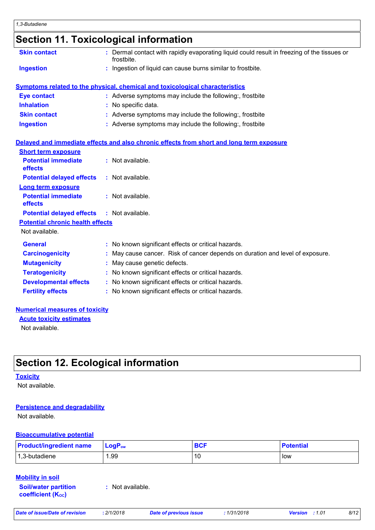## **Section 11. Toxicological information**

| <b>Skin contact</b>                     | : Dermal contact with rapidly evaporating liquid could result in freezing of the tissues or<br>frostbite. |  |
|-----------------------------------------|-----------------------------------------------------------------------------------------------------------|--|
| <b>Ingestion</b>                        | : Ingestion of liquid can cause burns similar to frostbite.                                               |  |
|                                         | <b>Symptoms related to the physical, chemical and toxicological characteristics</b>                       |  |
| <b>Eye contact</b>                      | : Adverse symptoms may include the following:, frostbite                                                  |  |
| <b>Inhalation</b>                       | : No specific data.                                                                                       |  |
| <b>Skin contact</b>                     | : Adverse symptoms may include the following:, frostbite                                                  |  |
| <b>Ingestion</b>                        | : Adverse symptoms may include the following:, frostbite                                                  |  |
|                                         | Delayed and immediate effects and also chronic effects from short and long term exposure                  |  |
| <b>Short term exposure</b>              |                                                                                                           |  |
| <b>Potential immediate</b><br>effects   | : Not available.                                                                                          |  |
| <b>Potential delayed effects</b>        | : Not available.                                                                                          |  |
| <b>Long term exposure</b>               |                                                                                                           |  |
| <b>Potential immediate</b><br>effects   | : Not available.                                                                                          |  |
| <b>Potential delayed effects</b>        | : Not available.                                                                                          |  |
| <b>Potential chronic health effects</b> |                                                                                                           |  |
| Not available.                          |                                                                                                           |  |
| <b>General</b>                          | : No known significant effects or critical hazards.                                                       |  |
| <b>Carcinogenicity</b>                  | : May cause cancer. Risk of cancer depends on duration and level of exposure.                             |  |
| <b>Mutagenicity</b>                     | May cause genetic defects.                                                                                |  |
| <b>Teratogenicity</b>                   | : No known significant effects or critical hazards.                                                       |  |
| <b>Developmental effects</b>            | : No known significant effects or critical hazards.                                                       |  |
| <b>Fertility effects</b>                | : No known significant effects or critical hazards.                                                       |  |
|                                         |                                                                                                           |  |

### **Numerical measures of toxicity**

Not available. **Acute toxicity estimates**

## **Section 12. Ecological information**

### **Toxicity**

Not available.

### **Persistence and degradability**

Not available.

### **Bioaccumulative potential**

| <b>Product/ingredient name</b> | $\mathsf{LogP}_\mathsf{ow}$ | <b>BCF</b> | <b>Potential</b> |
|--------------------------------|-----------------------------|------------|------------------|
| 1,3-butadiene                  | . 99. ،                     |            | low              |

## **Mobility in soil**

**Soil/water partition coefficient (KOC)**

**:** Not available.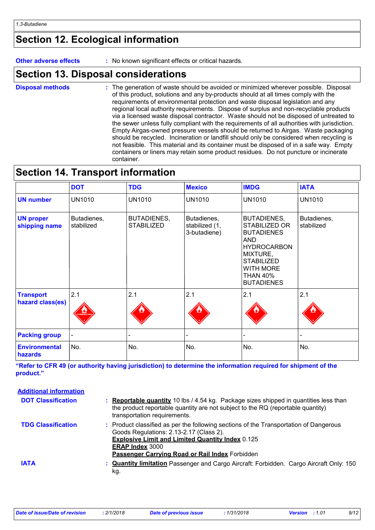## **Section 12. Ecological information**

**Other adverse effects** : No known significant effects or critical hazards.

## **Section 13. Disposal considerations**

The generation of waste should be avoided or minimized wherever possible. Disposal of this product, solutions and any by-products should at all times comply with the requirements of environmental protection and waste disposal legislation and any regional local authority requirements. Dispose of surplus and non-recyclable products via a licensed waste disposal contractor. Waste should not be disposed of untreated to the sewer unless fully compliant with the requirements of all authorities with jurisdiction. Empty Airgas-owned pressure vessels should be returned to Airgas. Waste packaging should be recycled. Incineration or landfill should only be considered when recycling is not feasible. This material and its container must be disposed of in a safe way. Empty containers or liners may retain some product residues. Do not puncture or incinerate container. **Disposal methods :**

## **Section 14. Transport information**

|                                      | <b>DOT</b>                | <b>TDG</b>                              | <b>Mexico</b>                                 | <b>IMDG</b>                                                                                                                                                                               | <b>IATA</b>               |
|--------------------------------------|---------------------------|-----------------------------------------|-----------------------------------------------|-------------------------------------------------------------------------------------------------------------------------------------------------------------------------------------------|---------------------------|
| <b>UN number</b>                     | <b>UN1010</b>             | <b>UN1010</b>                           | <b>UN1010</b>                                 | <b>UN1010</b>                                                                                                                                                                             | <b>UN1010</b>             |
| <b>UN proper</b><br>shipping name    | Butadienes,<br>stabilized | <b>BUTADIENES,</b><br><b>STABILIZED</b> | Butadienes,<br>stabilized (1,<br>3-butadiene) | <b>BUTADIENES,</b><br>STABILIZED OR<br><b>BUTADIENES</b><br><b>AND</b><br><b>HYDROCARBON</b><br>MIXTURE,<br><b>STABILIZED</b><br><b>WITH MORE</b><br><b>THAN 40%</b><br><b>BUTADIENES</b> | Butadienes,<br>stabilized |
| <b>Transport</b><br>hazard class(es) | 2.1<br><b>AMMABLE O</b>   | 2.1                                     | 2.1                                           | 2.1                                                                                                                                                                                       | 2.1                       |
| <b>Packing group</b>                 |                           |                                         |                                               |                                                                                                                                                                                           |                           |
| <b>Environmental</b><br>hazards      | No.                       | No.                                     | No.                                           | No.                                                                                                                                                                                       | No.                       |

**"Refer to CFR 49 (or authority having jurisdiction) to determine the information required for shipment of the product."** 

| <b>Additional information</b> |                                                                                                                                                                                                                                                                                 |
|-------------------------------|---------------------------------------------------------------------------------------------------------------------------------------------------------------------------------------------------------------------------------------------------------------------------------|
| <b>DOT Classification</b>     | : Reportable quantity 10 lbs / 4.54 kg. Package sizes shipped in quantities less than<br>the product reportable quantity are not subject to the RQ (reportable quantity)<br>transportation requirements.                                                                        |
| <b>TDG Classification</b>     | : Product classified as per the following sections of the Transportation of Dangerous<br>Goods Regulations: 2.13-2.17 (Class 2).<br><b>Explosive Limit and Limited Quantity Index 0.125</b><br><b>ERAP Index 3000</b><br><b>Passenger Carrying Road or Rail Index Forbidden</b> |
| <b>IATA</b>                   | : <b>Quantity limitation</b> Passenger and Cargo Aircraft: Forbidden. Cargo Aircraft Only: 150<br>kg.                                                                                                                                                                           |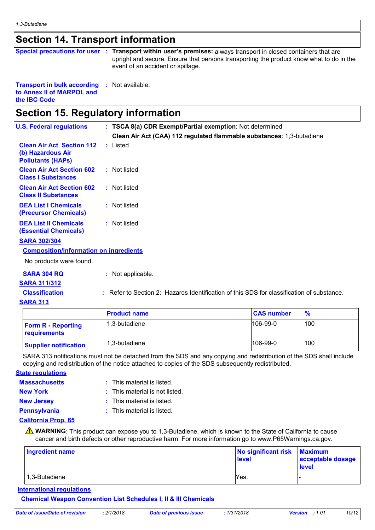## **Section 14. Transport information**

|  | Special precautions for user : Transport within user's premises: always transport in closed containers that are              |
|--|------------------------------------------------------------------------------------------------------------------------------|
|  | upright and secure. Ensure that persons transporting the product know what to do in the<br>event of an accident or spillage. |
|  |                                                                                                                              |

### **Transport in bulk according :** Not available. **to Annex II of MARPOL and the IBC Code**

## **Section 15. Regulatory information**

| <b>U.S. Federal regulations</b>                                                   | : TSCA 8(a) CDR Exempt/Partial exemption: Not determined              |
|-----------------------------------------------------------------------------------|-----------------------------------------------------------------------|
|                                                                                   | Clean Air Act (CAA) 112 regulated flammable substances: 1,3-butadiene |
| <b>Clean Air Act Section 112</b><br>(b) Hazardous Air<br><b>Pollutants (HAPS)</b> | : Listed                                                              |
| <b>Clean Air Act Section 602</b><br><b>Class I Substances</b>                     | : Not listed                                                          |
| <b>Clean Air Act Section 602</b><br><b>Class II Substances</b>                    | : Not listed                                                          |
| <b>DEA List I Chemicals</b><br>(Precursor Chemicals)                              | : Not listed                                                          |
| <b>DEA List II Chemicals</b><br><b>(Essential Chemicals)</b>                      | : Not listed                                                          |
| <b>SARA 302/304</b>                                                               |                                                                       |
| <b>Composition/information on ingredients</b>                                     |                                                                       |
| No products were found.                                                           |                                                                       |

| SARA 304 RQ | : Not applicable. |
|-------------|-------------------|
|-------------|-------------------|

## **SARA 311/312**

**Classification :** Refer to Section 2: Hazards Identification of this SDS for classification of substance.

### **SARA 313**

|                                           | <b>Product name</b> | <b>CAS number</b> | $\frac{9}{6}$ |
|-------------------------------------------|---------------------|-------------------|---------------|
| <b>Form R - Reporting</b><br>requirements | 1.3-butadiene       | $106-99-0$        | 100           |
| <b>Supplier notification</b>              | 1.3-butadiene       | $106-99-0$        | 100           |

SARA 313 notifications must not be detached from the SDS and any copying and redistribution of the SDS shall include copying and redistribution of the notice attached to copies of the SDS subsequently redistributed.

### **State regulations**

| <b>Massachusetts</b> | $:$ This material is listed.   |
|----------------------|--------------------------------|
| New York             | : This material is not listed. |
| <b>New Jersey</b>    | : This material is listed.     |
| <b>Pennsylvania</b>  | $:$ This material is listed.   |

## **California Prop. 65**

**A** WARNING: This product can expose you to 1,3-Butadiene, which is known to the State of California to cause cancer and birth defects or other reproductive harm. For more information go to www.P65Warnings.ca.gov.

| Ingredient name | No significant risk Maximum<br><b>level</b> | acceptable dosage<br>level |
|-----------------|---------------------------------------------|----------------------------|
| 1,3-Butadiene   | Yes.                                        |                            |

**International regulations**

**Chemical Weapon Convention List Schedules I, II & III Chemicals**

|  | Date of issue/Date of revision | : 2/1/2018 | Date of previous issue | 1/31/2018 | <b>Version</b> : 1.01 | 10/12 |
|--|--------------------------------|------------|------------------------|-----------|-----------------------|-------|
|--|--------------------------------|------------|------------------------|-----------|-----------------------|-------|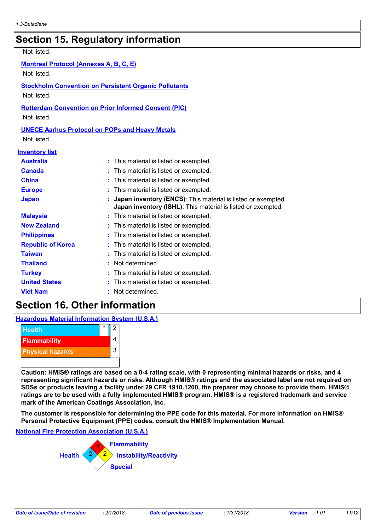## **Section 15. Regulatory information**

### Not listed.

### **Montreal Protocol (Annexes A, B, C, E)**

Not listed.

## **Stockholm Convention on Persistent Organic Pollutants**

Not listed.

### **Rotterdam Convention on Prior Informed Consent (PIC)**

Not listed.

## **UNECE Aarhus Protocol on POPs and Heavy Metals**

Not listed.

### **Inventory list**

| <b>Australia</b>         | : This material is listed or exempted.                                                                                                 |
|--------------------------|----------------------------------------------------------------------------------------------------------------------------------------|
| <b>Canada</b>            | : This material is listed or exempted.                                                                                                 |
| <b>China</b>             | : This material is listed or exempted.                                                                                                 |
| <b>Europe</b>            | : This material is listed or exempted.                                                                                                 |
| <b>Japan</b>             | : Japan inventory (ENCS): This material is listed or exempted.<br><b>Japan inventory (ISHL)</b> : This material is listed or exempted. |
| <b>Malaysia</b>          | : This material is listed or exempted.                                                                                                 |
| <b>New Zealand</b>       | : This material is listed or exempted.                                                                                                 |
| <b>Philippines</b>       | : This material is listed or exempted.                                                                                                 |
| <b>Republic of Korea</b> | : This material is listed or exempted.                                                                                                 |
| <b>Taiwan</b>            | : This material is listed or exempted.                                                                                                 |
| <b>Thailand</b>          | : Not determined.                                                                                                                      |
| <b>Turkey</b>            | : This material is listed or exempted.                                                                                                 |
| <b>United States</b>     | : This material is listed or exempted.                                                                                                 |
| <b>Viet Nam</b>          | : Not determined.                                                                                                                      |

## **Section 16. Other information**

### **Hazardous Material Information System (U.S.A.)**



**Caution: HMIS® ratings are based on a 0-4 rating scale, with 0 representing minimal hazards or risks, and 4 representing significant hazards or risks. Although HMIS® ratings and the associated label are not required on SDSs or products leaving a facility under 29 CFR 1910.1200, the preparer may choose to provide them. HMIS® ratings are to be used with a fully implemented HMIS® program. HMIS® is a registered trademark and service mark of the American Coatings Association, Inc.**

**The customer is responsible for determining the PPE code for this material. For more information on HMIS® Personal Protective Equipment (PPE) codes, consult the HMIS® Implementation Manual.**

### **National Fire Protection Association (U.S.A.)**